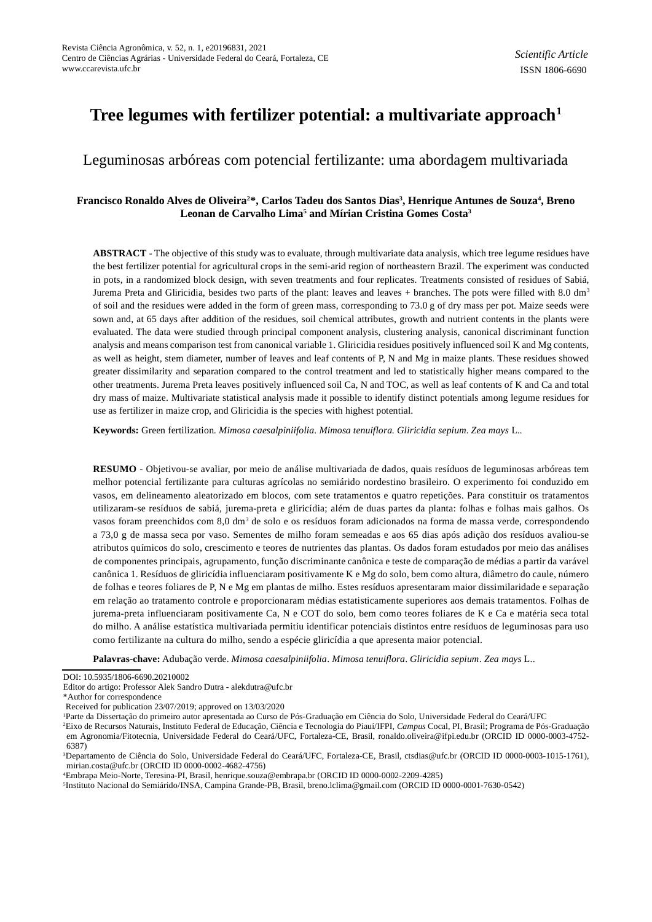# **Tree legumes with fertilizer potential: a multivariate approach<sup>1</sup>**

# Leguminosas arbóreas com potencial fertilizante: uma abordagem multivariada

# **Francisco Ronaldo Alves de Oliveira2\*, Carlos Tadeu dos Santos Dias<sup>3</sup> , Henrique Antunes de Souza<sup>4</sup> , Breno Leonan de Carvalho Lima<sup>5</sup> and Mírian Cristina Gomes Costa<sup>3</sup>**

**ABSTRACT** - The objective of this study was to evaluate, through multivariate data analysis, which tree legume residues have the best fertilizer potential for agricultural crops in the semi-arid region of northeastern Brazil. The experiment was conducted in pots, in a randomized block design, with seven treatments and four replicates. Treatments consisted of residues of Sabiá, Jurema Preta and Gliricidia, besides two parts of the plant: leaves and leaves + branches. The pots were filled with 8.0 dm<sup>3</sup> of soil and the residues were added in the form of green mass, corresponding to 73.0 g of dry mass per pot. Maize seeds were sown and, at 65 days after addition of the residues, soil chemical attributes, growth and nutrient contents in the plants were evaluated. The data were studied through principal component analysis, clustering analysis, canonical discriminant function analysis and means comparison test from canonical variable 1. Gliricidia residues positively influenced soil K and Mg contents, as well as height, stem diameter, number of leaves and leaf contents of P, N and Mg in maize plants. These residues showed greater dissimilarity and separation compared to the control treatment and led to statistically higher means compared to the other treatments. Jurema Preta leaves positively influenced soil Ca, N and TOC, as well as leaf contents of K and Ca and total dry mass of maize. Multivariate statistical analysis made it possible to identify distinct potentials among legume residues for use as fertilizer in maize crop, and Gliricidia is the species with highest potential.

**Keywords:** Green fertilization. *Mimosa caesalpiniifolia. Mimosa tenuiflora. Gliricidia sepium. Zea mays* L*..*

**RESUMO** - Objetivou-se avaliar, por meio de análise multivariada de dados, quais resíduos de leguminosas arbóreas tem melhor potencial fertilizante para culturas agrícolas no semiárido nordestino brasileiro. O experimento foi conduzido em vasos, em delineamento aleatorizado em blocos, com sete tratamentos e quatro repetições. Para constituir os tratamentos utilizaram-se resíduos de sabiá, jurema-preta e gliricídia; além de duas partes da planta: folhas e folhas mais galhos. Os vasos foram preenchidos com 8,0 dm<sup>3</sup> de solo e os resíduos foram adicionados na forma de massa verde, correspondendo a 73,0 g de massa seca por vaso. Sementes de milho foram semeadas e aos 65 dias após adição dos resíduos avaliou-se atributos químicos do solo, crescimento e teores de nutrientes das plantas. Os dados foram estudados por meio das análises de componentes principais, agrupamento, função discriminante canônica e teste de comparação de médias a partir da varável canônica 1. Resíduos de gliricídia influenciaram positivamente K e Mg do solo, bem como altura, diâmetro do caule, número de folhas e teores foliares de P, N e Mg em plantas de milho. Estes resíduos apresentaram maior dissimilaridade e separação em relação ao tratamento controle e proporcionaram médias estatisticamente superiores aos demais tratamentos. Folhas de jurema-preta influenciaram positivamente Ca, N e COT do solo, bem como teores foliares de K e Ca e matéria seca total do milho. A análise estatística multivariada permitiu identificar potenciais distintos entre resíduos de leguminosas para uso como fertilizante na cultura do milho, sendo a espécie gliricídia a que apresenta maior potencial.

**Palavras-chave:** Adubação verde. *Mimosa caesalpiniifolia*. *Mimosa tenuiflora*. *Gliricidia sepium*. *Zea mays* L..

\*Author for correspondence

<sup>1</sup>Parte da Dissertação do primeiro autor apresentada ao Curso de Pós-Graduação em Ciência do Solo, Universidade Federal do Ceará/UFC

5 Instituto Nacional do Semiárido/INSA, Campina Grande-PB, Brasil, breno.lclima@gmail.com (ORCID ID 0000-0001-7630-0542)

DOI: 10.5935/1806-6690.20210002

Editor do artigo: Professor Alek Sandro Dutra - alekdutra@ufc.br

Received for publication 23/07/2019; approved on 13/03/2020

<sup>2</sup>Eixo de Recursos Naturais, Instituto Federal de Educação, Ciência e Tecnologia do Piauí/IFPI, *Campus* Cocal, PI, Brasil; Programa de Pós-Graduação em Agronomia/Fitotecnia, Universidade Federal do Ceará/UFC, Fortaleza-CE, Brasil, ronaldo.oliveira@ifpi.edu.br (ORCID ID 0000-0003-4752- 6387)

<sup>3</sup>Departamento de Ciência do Solo, Universidade Federal do Ceará/UFC, Fortaleza-CE, Brasil, ctsdias@ufc.br (ORCID ID 0000-0003-1015-1761), mirian.costa@ufc.br (ORCID ID 0000-0002-4682-4756)

<sup>4</sup>Embrapa Meio-Norte, Teresina-PI, Brasil, henrique.souza@embrapa.br (ORCID ID 0000-0002-2209-4285)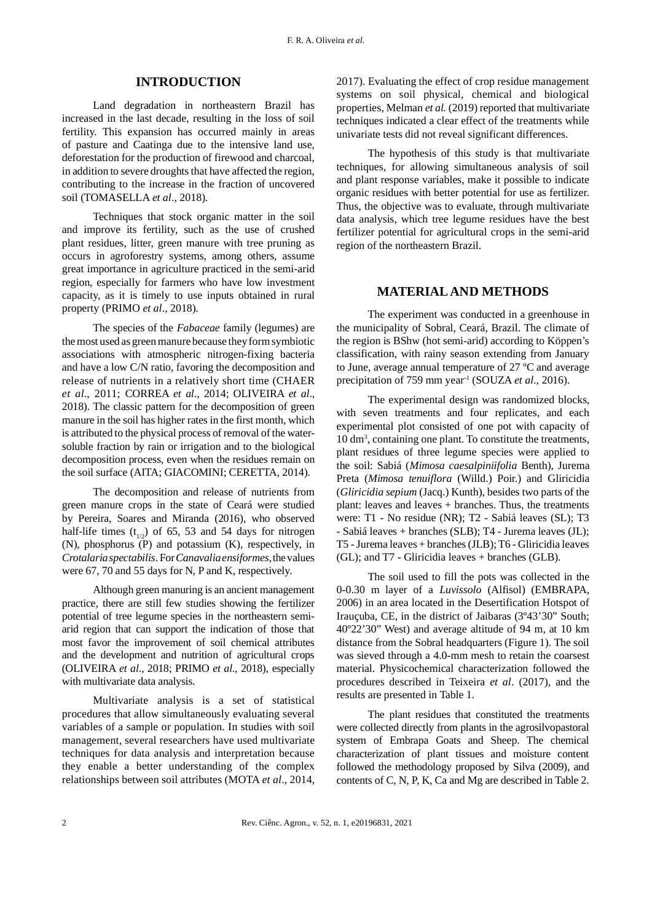### **INTRODUCTION**

Land degradation in northeastern Brazil has increased in the last decade, resulting in the loss of soil fertility. This expansion has occurred mainly in areas of pasture and Caatinga due to the intensive land use, deforestation for the production of firewood and charcoal, in addition to severe droughts that have affected the region, contributing to the increase in the fraction of uncovered soil (TOMASELLA *et al*., 2018).

Techniques that stock organic matter in the soil and improve its fertility, such as the use of crushed plant residues, litter, green manure with tree pruning as occurs in agroforestry systems, among others, assume great importance in agriculture practiced in the semi-arid region, especially for farmers who have low investment capacity, as it is timely to use inputs obtained in rural property (PRIMO *et al*., 2018).

The species of the *Fabaceae* family (legumes) are the most used as green manure because they form symbiotic associations with atmospheric nitrogen-fixing bacteria and have a low C/N ratio, favoring the decomposition and release of nutrients in a relatively short time (CHAER *et al*., 2011; CORREA *et al*., 2014; OLIVEIRA *et al*., 2018). The classic pattern for the decomposition of green manure in the soil has higher rates in the first month, which is attributed to the physical process of removal of the watersoluble fraction by rain or irrigation and to the biological decomposition process, even when the residues remain on the soil surface (AITA; GIACOMINI; CERETTA, 2014).

The decomposition and release of nutrients from green manure crops in the state of Ceará were studied by Pereira, Soares and Miranda (2016), who observed half-life times  $(t_{1/2})$  of 65, 53 and 54 days for nitrogen (N), phosphorus (P) and potassium (K), respectively, in *Crotalaria spectabilis*. For*Canavalia ensiformes,*the values were 67, 70 and 55 days for N, P and K, respectively.

Although green manuring is an ancient management practice, there are still few studies showing the fertilizer potential of tree legume species in the northeastern semiarid region that can support the indication of those that most favor the improvement of soil chemical attributes and the development and nutrition of agricultural crops (OLIVEIRA *et al*., 2018; PRIMO *et al*., 2018), especially with multivariate data analysis.

Multivariate analysis is a set of statistical procedures that allow simultaneously evaluating several variables of a sample or population. In studies with soil management, several researchers have used multivariate techniques for data analysis and interpretation because they enable a better understanding of the complex relationships between soil attributes (MOTA *et al*., 2014, 2017). Evaluating the effect of crop residue management systems on soil physical, chemical and biological properties, Melman *et al.* (2019) reported that multivariate techniques indicated a clear effect of the treatments while univariate tests did not reveal significant differences.

The hypothesis of this study is that multivariate techniques, for allowing simultaneous analysis of soil and plant response variables, make it possible to indicate organic residues with better potential for use as fertilizer. Thus, the objective was to evaluate, through multivariate data analysis, which tree legume residues have the best fertilizer potential for agricultural crops in the semi-arid region of the northeastern Brazil.

#### **MATERIAL AND METHODS**

The experiment was conducted in a greenhouse in the municipality of Sobral, Ceará, Brazil. The climate of the region is BShw (hot semi-arid) according to Köppen's classification, with rainy season extending from January to June, average annual temperature of 27 ºC and average precipitation of 759 mm year<sup>1</sup> (SOUZA *et al.*, 2016).

The experimental design was randomized blocks, with seven treatments and four replicates, and each experimental plot consisted of one pot with capacity of 10 dm<sup>3</sup> , containing one plant. To constitute the treatments, plant residues of three legume species were applied to the soil: Sabiá (*Mimosa caesalpiniifolia* Benth), Jurema Preta (*Mimosa tenuiflora* (Willd.) Poir.) and Gliricidia (*Gliricidia sepium* (Jacq.) Kunth), besides two parts of the plant: leaves and leaves + branches. Thus, the treatments were: T1 - No residue (NR); T2 - Sabiá leaves (SL); T3 - Sabiá leaves + branches (SLB); T4 - Jurema leaves (JL); T5 - Jurema leaves + branches (JLB); T6 - Gliricidia leaves (GL); and T7 - Gliricidia leaves + branches (GLB).

The soil used to fill the pots was collected in the 0-0.30 m layer of a *Luvissolo* (Alfisol) (EMBRAPA, 2006) in an area located in the Desertification Hotspot of Irauçuba, CE, in the district of Jaibaras (3º43'30" South; 40º22'30" West) and average altitude of 94 m, at 10 km distance from the Sobral headquarters (Figure 1). The soil was sieved through a 4.0-mm mesh to retain the coarsest material. Physicochemical characterization followed the procedures described in Teixeira *et al*. (2017), and the results are presented in Table 1.

The plant residues that constituted the treatments were collected directly from plants in the agrosilvopastoral system of Embrapa Goats and Sheep. The chemical characterization of plant tissues and moisture content followed the methodology proposed by Silva (2009), and contents of C, N, P, K, Ca and Mg are described in Table 2.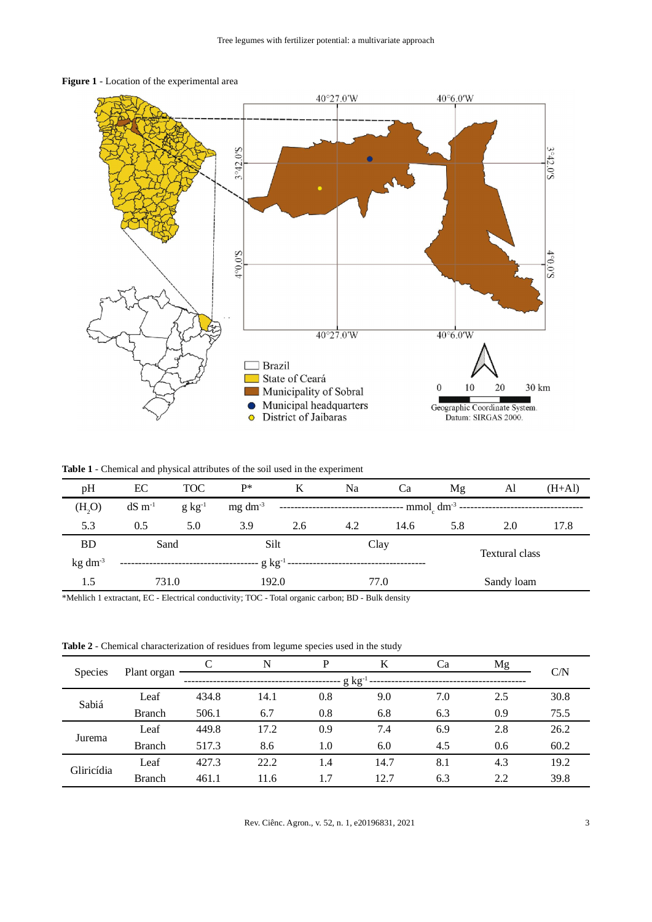

**Figure 1** - Location of the experimental area

**Table 1** - Chemical and physical attributes of the soil used in the experiment

| pH           | EC                    | <b>TOC</b>                  | $P^*$           | K                                                                               | Na   | Ca                    | Mg  | Al         | $(H+A)$ |
|--------------|-----------------------|-----------------------------|-----------------|---------------------------------------------------------------------------------|------|-----------------------|-----|------------|---------|
| (H, O)       | $dS \, \text{m}^{-1}$ | $g kg^{-1}$                 | $mg \, dm^{-3}$ | $--- \text{mmol}_c \text{ dm}^{-3}$ ---------------<br>------------------------ |      |                       |     |            |         |
| 5.3          | 0.5                   | 5.0                         | 3.9             | 2.6                                                                             | 4.2  | 14.6                  | 5.8 | 2.0        | 17.8    |
| <b>BD</b>    | Sand                  |                             | Silt<br>Clay    |                                                                                 |      | <b>Textural class</b> |     |            |         |
| $kg \, dm^3$ |                       | $\cdot$ g $\rm kg$ $^1$ --- |                 |                                                                                 |      |                       |     |            |         |
| 1.5          |                       | 192.0<br>731.0              |                 |                                                                                 | 77.0 |                       |     | Sandy loam |         |

\*Mehlich 1 extractant, EC - Electrical conductivity; TOC - Total organic carbon; BD - Bulk density

**Table 2** - Chemical characterization of residues from legume species used in the study

| <b>Species</b> |               |              | N    | P   | K    | Ca  | Mg  | C/N  |
|----------------|---------------|--------------|------|-----|------|-----|-----|------|
|                | Plant organ   | $-g kg^{-1}$ |      |     |      |     |     |      |
| Sabiá          | Leaf          | 434.8        | 14.1 | 0.8 | 9.0  | 7.0 | 2.5 | 30.8 |
|                | <b>Branch</b> | 506.1        | 6.7  | 0.8 | 6.8  | 6.3 | 0.9 | 75.5 |
| Jurema         | Leaf          | 449.8        | 17.2 | 0.9 | 7.4  | 6.9 | 2.8 | 26.2 |
|                | <b>Branch</b> | 517.3        | 8.6  | 1.0 | 6.0  | 4.5 | 0.6 | 60.2 |
| Gliricídia     | Leaf          | 427.3        | 22.2 | 1.4 | 14.7 | 8.1 | 4.3 | 19.2 |
|                | <b>Branch</b> | 461.1        | 11.6 | 1.7 | 12.7 | 6.3 | 2.2 | 39.8 |

Rev. Ciênc. Agron., v. 52, n. 1, e20196831, 2021 3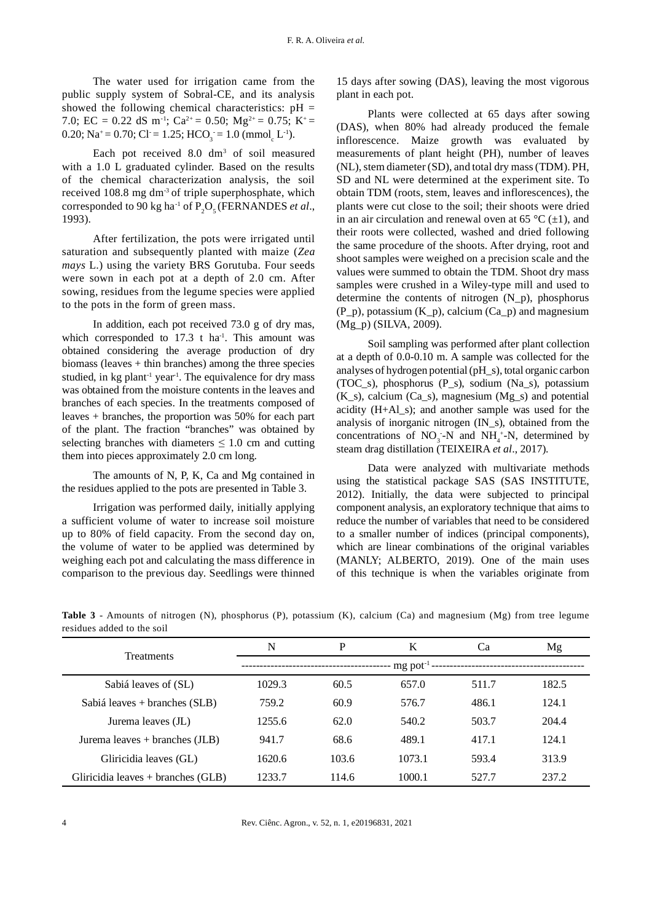The water used for irrigation came from the public supply system of Sobral-CE, and its analysis showed the following chemical characteristics:  $pH =$ 7.0; EC = 0.22 dS m<sup>-1</sup>; Ca<sup>2+</sup> = 0.50; Mg<sup>2+</sup> = 0.75; K<sup>+</sup> = 0.20; Na<sup>+</sup> = 0.70; Cl = 1.25; HCO<sub>3</sub> = 1.0 (mmol<sub>c</sub> L<sup>-1</sup>).

Each pot received  $8.0 \text{ dm}^3$  of soil measured with a 1.0 L graduated cylinder. Based on the results of the chemical characterization analysis, the soil received 108.8 mg dm<sup>-3</sup> of triple superphosphate, which corresponded to 90 kg ha<sup>-1</sup> of  $P_2O_5$  (FERNANDES *et al.*, 1993).

After fertilization, the pots were irrigated until saturation and subsequently planted with maize (*Zea mays* L.) using the variety BRS Gorutuba. Four seeds were sown in each pot at a depth of 2.0 cm. After sowing, residues from the legume species were applied to the pots in the form of green mass.

In addition, each pot received 73.0 g of dry mas, which corresponded to  $17.3$  t ha<sup>-1</sup>. This amount was obtained considering the average production of dry biomass (leaves  $+$  thin branches) among the three species studied, in kg plant<sup>-1</sup> year<sup>-1</sup>. The equivalence for dry mass was obtained from the moisture contents in the leaves and branches of each species. In the treatments composed of leaves + branches, the proportion was 50% for each part of the plant. The fraction "branches" was obtained by selecting branches with diameters  $\leq 1.0$  cm and cutting them into pieces approximately 2.0 cm long.

The amounts of N, P, K, Ca and Mg contained in the residues applied to the pots are presented in Table 3.

Irrigation was performed daily, initially applying a sufficient volume of water to increase soil moisture up to 80% of field capacity. From the second day on, the volume of water to be applied was determined by weighing each pot and calculating the mass difference in comparison to the previous day. Seedlings were thinned

15 days after sowing (DAS), leaving the most vigorous plant in each pot.

Plants were collected at 65 days after sowing (DAS), when 80% had already produced the female inflorescence. Maize growth was evaluated by measurements of plant height (PH), number of leaves (NL), stem diameter (SD), and total dry mass (TDM). PH, SD and NL were determined at the experiment site. To obtain TDM (roots, stem, leaves and inflorescences), the plants were cut close to the soil; their shoots were dried in an air circulation and renewal oven at 65  $\mathrm{C}$  ( $\pm$ 1), and their roots were collected, washed and dried following the same procedure of the shoots. After drying, root and shoot samples were weighed on a precision scale and the values were summed to obtain the TDM. Shoot dry mass samples were crushed in a Wiley-type mill and used to determine the contents of nitrogen (N\_p), phosphorus  $(P_p)$ , potassium  $(K_p)$ , calcium  $(Ca_p)$  and magnesium (Mg\_p) (SILVA, 2009).

Soil sampling was performed after plant collection at a depth of 0.0-0.10 m. A sample was collected for the analyses of hydrogen potential (pH\_s), total organic carbon (TOC\_s), phosphorus (P\_s), sodium (Na\_s), potassium  $(K_s)$ , calcium  $(Ca_s)$ , magnesium  $(Mg_s)$  and potential acidity (H+Al\_s); and another sample was used for the analysis of inorganic nitrogen (IN\_s), obtained from the concentrations of  $NO_3$ -N and  $NH_4$ <sup>+</sup>-N, determined by steam drag distillation (TEIXEIRA *et al*., 2017).

Data were analyzed with multivariate methods using the statistical package SAS (SAS INSTITUTE, 2012). Initially, the data were subjected to principal component analysis, an exploratory technique that aims to reduce the number of variables that need to be considered to a smaller number of indices (principal components), which are linear combinations of the original variables (MANLY; ALBERTO, 2019). One of the main uses of this technique is when the variables originate from

**Table 3** - Amounts of nitrogen (N), phosphorus (P), potassium (K), calcium (Ca) and magnesium (Mg) from tree legume residues added to the soil

| <b>Treatments</b>                    | N      | P     | K                         | Ca    | Mg    |
|--------------------------------------|--------|-------|---------------------------|-------|-------|
|                                      |        |       | $mg$ pot <sup>-1</sup> -- |       |       |
| Sabiá leaves of (SL)                 | 1029.3 | 60.5  | 657.0                     | 511.7 | 182.5 |
| Sabiá leaves + branches (SLB)        | 759.2  | 60.9  | 576.7                     | 486.1 | 124.1 |
| Jurema leaves (JL)                   | 1255.6 | 62.0  | 540.2                     | 503.7 | 204.4 |
| Jurema leaves $+$ branches (JLB)     | 941.7  | 68.6  | 489.1                     | 417.1 | 124.1 |
| Gliricidia leaves (GL)               | 1620.6 | 103.6 | 1073.1                    | 593.4 | 313.9 |
| Gliricidia leaves $+$ branches (GLB) | 1233.7 | 114.6 | 1000.1                    | 527.7 | 237.2 |

4 Rev. Ciênc. Agron., v. 52, n. 1, e20196831, 2021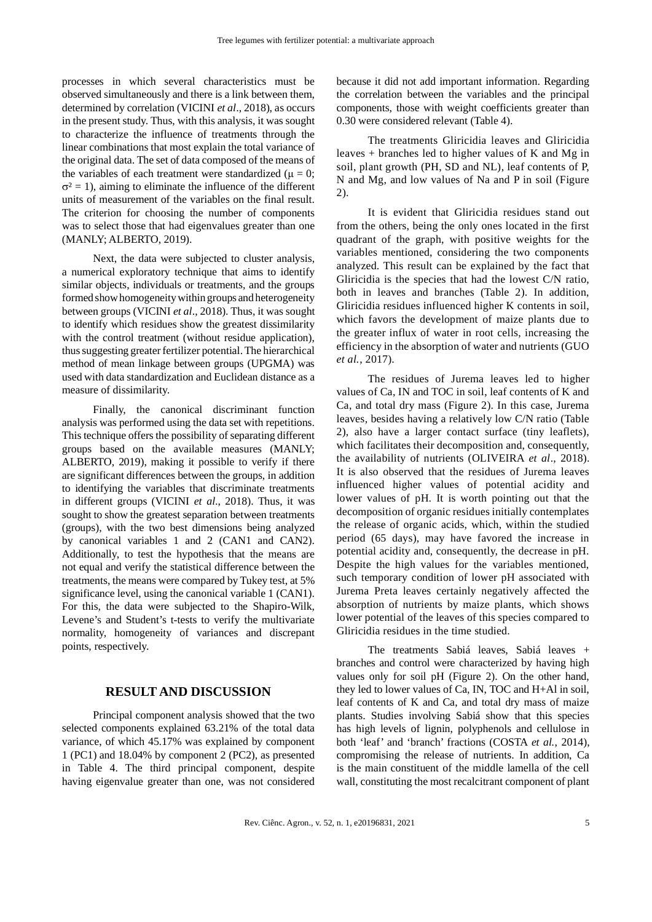processes in which several characteristics must be observed simultaneously and there is a link between them, determined by correlation (VICINI *et al*., 2018), as occurs in the present study. Thus, with this analysis, it was sought to characterize the influence of treatments through the linear combinations that most explain the total variance of the original data. The set of data composed of the means of the variables of each treatment were standardized ( $\mu = 0$ ;  $\sigma^2 = 1$ ), aiming to eliminate the influence of the different units of measurement of the variables on the final result. The criterion for choosing the number of components was to select those that had eigenvalues greater than one (MANLY; ALBERTO, 2019).

Next, the data were subjected to cluster analysis, a numerical exploratory technique that aims to identify similar objects, individuals or treatments, and the groups formed show homogeneity within groups and heterogeneity between groups (VICINI *et al*., 2018). Thus, it was sought to identify which residues show the greatest dissimilarity with the control treatment (without residue application), thus suggesting greater fertilizer potential. The hierarchical method of mean linkage between groups (UPGMA) was used with data standardization and Euclidean distance as a measure of dissimilarity.

Finally, the canonical discriminant function analysis was performed using the data set with repetitions. This technique offers the possibility of separating different groups based on the available measures (MANLY; ALBERTO, 2019), making it possible to verify if there are significant differences between the groups, in addition to identifying the variables that discriminate treatments in different groups (VICINI *et al*., 2018). Thus, it was sought to show the greatest separation between treatments (groups), with the two best dimensions being analyzed by canonical variables 1 and 2 (CAN1 and CAN2). Additionally, to test the hypothesis that the means are not equal and verify the statistical difference between the treatments, the means were compared by Tukey test, at 5% significance level, using the canonical variable 1 (CAN1). For this, the data were subjected to the Shapiro-Wilk, Levene's and Student's t-tests to verify the multivariate normality, homogeneity of variances and discrepant points, respectively.

# **RESULT AND DISCUSSION**

Principal component analysis showed that the two selected components explained 63.21% of the total data variance, of which 45.17% was explained by component 1 (PC1) and 18.04% by component 2 (PC2), as presented in Table 4. The third principal component, despite having eigenvalue greater than one, was not considered because it did not add important information. Regarding the correlation between the variables and the principal components, those with weight coefficients greater than 0.30 were considered relevant (Table 4).

The treatments Gliricidia leaves and Gliricidia leaves  $+$  branches led to higher values of K and Mg in soil, plant growth (PH, SD and NL), leaf contents of P, N and Mg, and low values of Na and P in soil (Figure 2).

It is evident that Gliricidia residues stand out from the others, being the only ones located in the first quadrant of the graph, with positive weights for the variables mentioned, considering the two components analyzed. This result can be explained by the fact that Gliricidia is the species that had the lowest C/N ratio, both in leaves and branches (Table 2). In addition, Gliricidia residues influenced higher K contents in soil, which favors the development of maize plants due to the greater influx of water in root cells, increasing the efficiency in the absorption of water and nutrients (GUO *et al.*, 2017).

The residues of Jurema leaves led to higher values of Ca, IN and TOC in soil, leaf contents of K and Ca, and total dry mass (Figure 2). In this case, Jurema leaves, besides having a relatively low C/N ratio (Table 2), also have a larger contact surface (tiny leaflets), which facilitates their decomposition and, consequently, the availability of nutrients (OLIVEIRA *et al*., 2018). It is also observed that the residues of Jurema leaves influenced higher values of potential acidity and lower values of pH. It is worth pointing out that the decomposition of organic residues initially contemplates the release of organic acids, which, within the studied period (65 days), may have favored the increase in potential acidity and, consequently, the decrease in pH. Despite the high values for the variables mentioned, such temporary condition of lower pH associated with Jurema Preta leaves certainly negatively affected the absorption of nutrients by maize plants, which shows lower potential of the leaves of this species compared to Gliricidia residues in the time studied.

The treatments Sabiá leaves, Sabiá leaves + branches and control were characterized by having high values only for soil pH (Figure 2). On the other hand, they led to lower values of Ca, IN, TOC and H+Al in soil, leaf contents of K and Ca, and total dry mass of maize plants. Studies involving Sabiá show that this species has high levels of lignin, polyphenols and cellulose in both 'leaf' and 'branch' fractions (COSTA *et al.*, 2014), compromising the release of nutrients. In addition, Ca is the main constituent of the middle lamella of the cell wall, constituting the most recalcitrant component of plant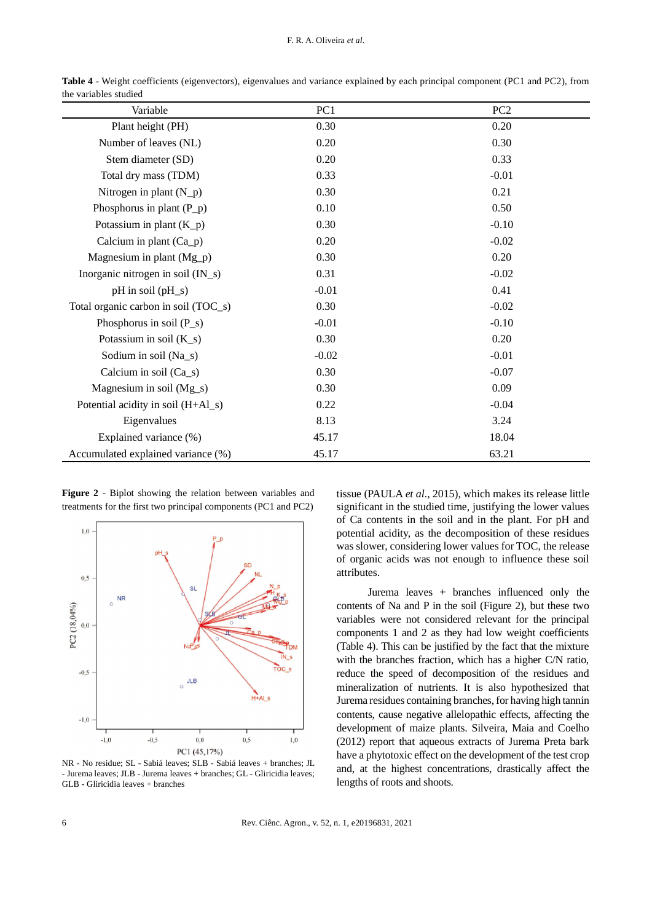| Variable                             | PC1     | PC <sub>2</sub> |
|--------------------------------------|---------|-----------------|
| Plant height (PH)                    | 0.30    | 0.20            |
| Number of leaves (NL)                | 0.20    | 0.30            |
| Stem diameter (SD)                   | 0.20    | 0.33            |
| Total dry mass (TDM)                 | 0.33    | $-0.01$         |
| Nitrogen in plant $(N_p)$            | 0.30    | 0.21            |
| Phosphorus in plant $(P_p)$          | 0.10    | 0.50            |
| Potassium in plant $(K_p)$           | 0.30    | $-0.10$         |
| Calcium in plant $(Ca_p)$            | 0.20    | $-0.02$         |
| Magnesium in plant $(Mg_p)$          | 0.30    | 0.20            |
| Inorganic nitrogen in soil $(IN_s)$  | 0.31    | $-0.02$         |
| pH in soil (pH_s)                    | $-0.01$ | 0.41            |
| Total organic carbon in soil (TOC_s) | 0.30    | $-0.02$         |
| Phosphorus in soil $(P_s)$           | $-0.01$ | $-0.10$         |
| Potassium in soil $(K_s)$            | 0.30    | 0.20            |
| Sodium in soil (Na_s)                | $-0.02$ | $-0.01$         |
| Calcium in soil (Ca_s)               | 0.30    | $-0.07$         |
| Magnesium in soil $(Mg_s)$           | 0.30    | 0.09            |
| Potential acidity in soil (H+Al_s)   | 0.22    | $-0.04$         |
| Eigenvalues                          | 8.13    | 3.24            |
| Explained variance (%)               | 45.17   | 18.04           |
| Accumulated explained variance (%)   | 45.17   | 63.21           |

**Table 4** - Weight coefficients (eigenvectors), eigenvalues and variance explained by each principal component (PC1 and PC2), from the variables studied

**Figure 2** - Biplot showing the relation between variables and treatments for the first two principal components (PC1 and PC2)



NR - No residue; SL - Sabiá leaves; SLB - Sabiá leaves + branches; JL - Jurema leaves; JLB - Jurema leaves + branches; GL - Gliricidia leaves; GLB - Gliricidia leaves + branches

tissue (PAULA *et al.*, 2015), which makes its release little significant in the studied time, justifying the lower values of Ca contents in the soil and in the plant. For pH and potential acidity, as the decomposition of these residues was slower, considering lower values for TOC, the release of organic acids was not enough to influence these soil attributes.

Jurema leaves + branches influenced only the contents of Na and P in the soil (Figure 2), but these two variables were not considered relevant for the principal components 1 and 2 as they had low weight coefficients (Table 4). This can be justified by the fact that the mixture with the branches fraction, which has a higher C/N ratio, reduce the speed of decomposition of the residues and mineralization of nutrients. It is also hypothesized that Jurema residues containing branches, for having high tannin contents, cause negative allelopathic effects, affecting the development of maize plants. Silveira, Maia and Coelho (2012) report that aqueous extracts of Jurema Preta bark have a phytotoxic effect on the development of the test crop and, at the highest concentrations, drastically affect the lengths of roots and shoots.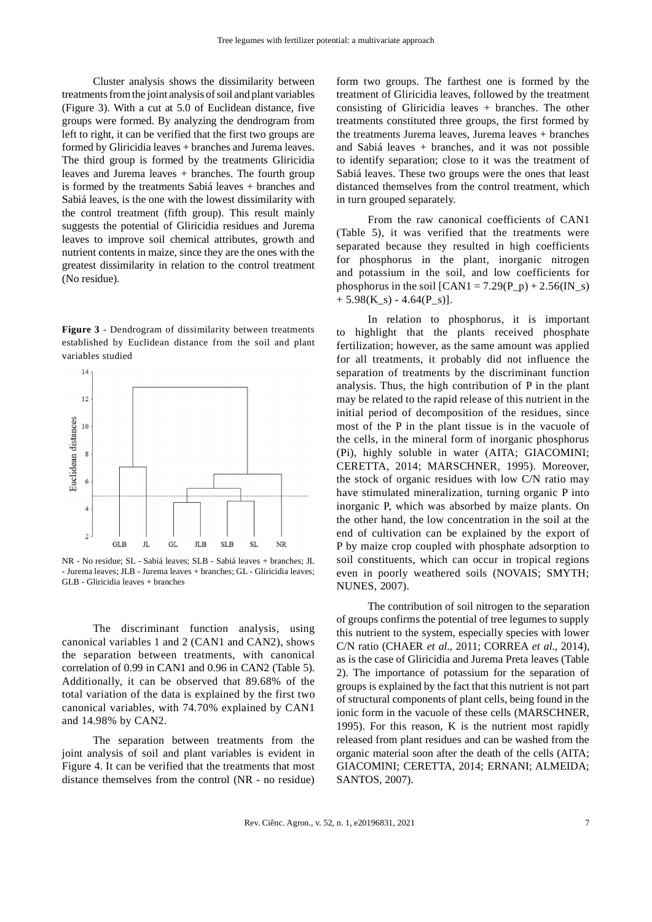Cluster analysis shows the dissimilarity between treatments from the joint analysis of soil and plant variables (Figure 3). With a cut at 5.0 of Euclidean distance, five groups were formed. By analyzing the dendrogram from left to right, it can be verified that the first two groups are formed by Gliricidia leaves + branches and Jurema leaves. The third group is formed by the treatments Gliricidia leaves and Jurema leaves + branches. The fourth group is formed by the treatments Sabiá leaves + branches and Sabiá leaves, is the one with the lowest dissimilarity with the control treatment (fifth group). This result mainly suggests the potential of Gliricidia residues and Jurema leaves to improve soil chemical attributes, growth and nutrient contents in maize, since they are the ones with the greatest dissimilarity in relation to the control treatment (No residue).

**Figure 3** - Dendrogram of dissimilarity between treatments established by Euclidean distance from the soil and plant variables studied



NR - No residue; SL - Sabiá leaves; SLB - Sabiá leaves + branches; JL - Jurema leaves; JLB - Jurema leaves + branches; GL - Gliricidia leaves; GLB - Gliricidia leaves + branches

The discriminant function analysis, using canonical variables 1 and 2 (CAN1 and CAN2), shows the separation between treatments, with canonical correlation of 0.99 in CAN1 and 0.96 in CAN2 (Table 5). Additionally, it can be observed that 89.68% of the total variation of the data is explained by the first two canonical variables, with 74.70% explained by CAN1 and 14.98% by CAN2.

The separation between treatments from the joint analysis of soil and plant variables is evident in Figure 4. It can be verified that the treatments that most distance themselves from the control (NR - no residue) form two groups. The farthest one is formed by the treatment of Gliricidia leaves, followed by the treatment consisting of Gliricidia leaves + branches. The other treatments constituted three groups, the first formed by the treatments Jurema leaves, Jurema leaves + branches and Sabiá leaves + branches, and it was not possible to identify separation; close to it was the treatment of Sabiá leaves. These two groups were the ones that least distanced themselves from the control treatment, which in turn grouped separately.

From the raw canonical coefficients of CAN1 (Table 5), it was verified that the treatments were separated because they resulted in high coefficients for phosphorus in the plant, inorganic nitrogen and potassium in the soil, and low coefficients for phosphorus in the soil  $[CAN1 = 7.29(P_p) + 2.56(IN_s)]$  $+ 5.98(K_s) - 4.64(P_s)$ .

In relation to phosphorus, it is important to highlight that the plants received phosphate fertilization; however, as the same amount was applied for all treatments, it probably did not influence the separation of treatments by the discriminant function analysis. Thus, the high contribution of P in the plant may be related to the rapid release of this nutrient in the initial period of decomposition of the residues, since most of the P in the plant tissue is in the vacuole of the cells, in the mineral form of inorganic phosphorus (Pi), highly soluble in water (AITA; GIACOMINI; CERETTA, 2014; MARSCHNER, 1995). Moreover, the stock of organic residues with low C/N ratio may have stimulated mineralization, turning organic P into inorganic P, which was absorbed by maize plants. On the other hand, the low concentration in the soil at the end of cultivation can be explained by the export of P by maize crop coupled with phosphate adsorption to soil constituents, which can occur in tropical regions even in poorly weathered soils (NOVAIS; SMYTH; NUNES, 2007).

The contribution of soil nitrogen to the separation of groups confirms the potential of tree legumes to supply this nutrient to the system, especially species with lower C/N ratio (CHAER *et al*., 2011; CORREA *et al*., 2014), as is the case of Gliricidia and Jurema Preta leaves (Table 2). The importance of potassium for the separation of groups is explained by the fact that this nutrient is not part of structural components of plant cells, being found in the ionic form in the vacuole of these cells (MARSCHNER, 1995). For this reason, K is the nutrient most rapidly released from plant residues and can be washed from the organic material soon after the death of the cells (AITA; GIACOMINI; CERETTA, 2014; ERNANI; ALMEIDA; SANTOS, 2007).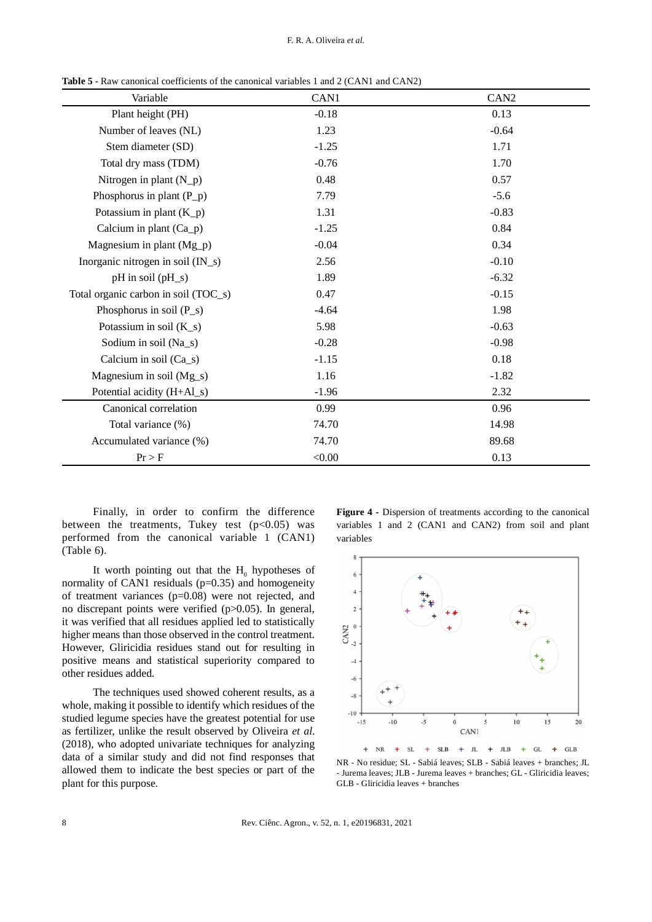**Table 5 -** Raw canonical coefficients of the canonical variables 1 and 2 (CAN1 and CAN2)

| Variable                             | CAN1    | CAN <sub>2</sub> |
|--------------------------------------|---------|------------------|
| Plant height (PH)                    | $-0.18$ | 0.13             |
| Number of leaves (NL)                | 1.23    | $-0.64$          |
| Stem diameter (SD)                   | $-1.25$ | 1.71             |
| Total dry mass (TDM)                 | $-0.76$ | 1.70             |
| Nitrogen in plant $(N_p)$            | 0.48    | 0.57             |
| Phosphorus in plant $(P_p)$          | 7.79    | $-5.6$           |
| Potassium in plant $(K_p)$           | 1.31    | $-0.83$          |
| Calcium in plant $(Ca_p)$            | $-1.25$ | 0.84             |
| Magnesium in plant (Mg_p)            | $-0.04$ | 0.34             |
| Inorganic nitrogen in soil (IN_s)    | 2.56    | $-0.10$          |
| $pH$ in soil $(pH_s)$                | 1.89    | $-6.32$          |
| Total organic carbon in soil (TOC_s) | 0.47    | $-0.15$          |
| Phosphorus in soil $(P_s)$           | $-4.64$ | 1.98             |
| Potassium in soil $(K_s)$            | 5.98    | $-0.63$          |
| Sodium in soil (Na_s)                | $-0.28$ | $-0.98$          |
| Calcium in soil (Ca_s)               | $-1.15$ | 0.18             |
| Magnesium in soil (Mg_s)             | 1.16    | $-1.82$          |
| Potential acidity (H+Al_s)           | $-1.96$ | 2.32             |
| Canonical correlation                | 0.99    | 0.96             |
| Total variance (%)                   | 74.70   | 14.98            |
| Accumulated variance (%)             | 74.70   | 89.68            |
| Pr > F                               | < 0.00  | 0.13             |

Finally, in order to confirm the difference between the treatments, Tukey test  $(p<0.05)$  was performed from the canonical variable 1 (CAN1) (Table 6).

It worth pointing out that the  $H_0$  hypotheses of normality of CAN1 residuals  $(p=0.35)$  and homogeneity of treatment variances (p=0.08) were not rejected, and no discrepant points were verified (p>0.05). In general, it was verified that all residues applied led to statistically higher means than those observed in the control treatment. However, Gliricidia residues stand out for resulting in positive means and statistical superiority compared to other residues added.

The techniques used showed coherent results, as a whole, making it possible to identify which residues of the studied legume species have the greatest potential for use as fertilizer, unlike the result observed by Oliveira *et al.* (2018), who adopted univariate techniques for analyzing data of a similar study and did not find responses that allowed them to indicate the best species or part of the plant for this purpose.

**Figure 4 -** Dispersion of treatments according to the canonical variables 1 and 2 (CAN1 and CAN2) from soil and plant variables



NR - No residue; SL - Sabiá leaves; SLB - Sabiá leaves + branches; JL - Jurema leaves; JLB - Jurema leaves + branches; GL - Gliricidia leaves; GLB - Gliricidia leaves + branches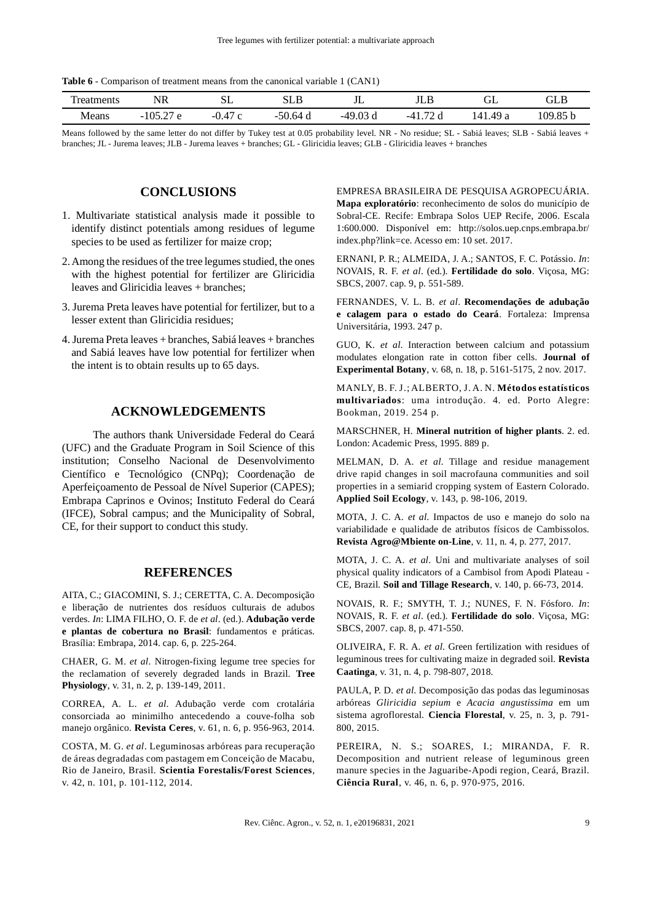**Table 6** - Comparison of treatment means from the canonical variable 1 (CAN1)

| чеш.       | ιD<br><b>NL</b><br>11 V<br>the contract of the contract of the | CΠ<br>ື<br>$\sim$ $-$ | பட                                 | ــد ب                                       | $\mathbf{r}$                                    | $\sim$<br>ىت          | $\mathbf{v}$<br>ىبى  |
|------------|----------------------------------------------------------------|-----------------------|------------------------------------|---------------------------------------------|-------------------------------------------------|-----------------------|----------------------|
| Means<br>. | $\sim$<br>$\Omega$<br>-<br>_____<br>$\sim$                     | . .<br>∽<br>-         | $\sim$ $\sim$<br>~<br>n4<br>-<br>u | $\sim$<br>40<br>ື<br>$\cdot$ $\circ$ $\sim$ | $\overline{\phantom{a}}$<br>$-4$<br>ึ่น<br>____ | ΛQ<br>۰/۱<br>a<br>$-$ | ۱ΛQ<br>$\sim$ $\sim$ |

Means followed by the same letter do not differ by Tukey test at 0.05 probability level. NR - No residue; SL - Sabiá leaves; SLB - Sabiá leaves + branches; JL - Jurema leaves; JLB - Jurema leaves + branches; GL - Gliricidia leaves; GLB - Gliricidia leaves + branches

# **CONCLUSIONS**

- 1. Multivariate statistical analysis made it possible to identify distinct potentials among residues of legume species to be used as fertilizer for maize crop;
- 2. Among the residues of the tree legumes studied, the ones with the highest potential for fertilizer are Gliricidia leaves and Gliricidia leaves + branches;
- 3. Jurema Preta leaves have potential for fertilizer, but to a lesser extent than Gliricidia residues;
- 4. Jurema Preta leaves + branches, Sabiá leaves + branches and Sabiá leaves have low potential for fertilizer when the intent is to obtain results up to 65 days.

# **ACKNOWLEDGEMENTS**

The authors thank Universidade Federal do Ceará (UFC) and the Graduate Program in Soil Science of this institution; Conselho Nacional de Desenvolvimento Científico e Tecnológico (CNPq); Coordenação de Aperfeiçoamento de Pessoal de Nível Superior (CAPES); Embrapa Caprinos e Ovinos; Instituto Federal do Ceará (IFCE), Sobral campus; and the Municipality of Sobral, CE, for their support to conduct this study.

### **REFERENCES**

AITA, C.; GIACOMINI, S. J.; CERETTA, C. A. Decomposição e liberação de nutrientes dos resíduos culturais de adubos verdes. *In*: LIMA FILHO, O. F. de *et al*. (ed.). **Adubação verde e plantas de cobertura no Brasil**: fundamentos e práticas. Brasília: Embrapa, 2014. cap. 6, p. 225-264.

CHAER, G. M. *et al*. Nitrogen-fixing legume tree species for the reclamation of severely degraded lands in Brazil. **Tree Physiology**, v. 31, n. 2, p. 139-149, 2011.

CORREA, A. L. *et al*. Adubação verde com crotalária consorciada ao minimilho antecedendo a couve-folha sob manejo orgânico. **Revista Ceres**, v. 61, n. 6, p. 956-963, 2014.

COSTA, M. G. *et al*. Leguminosas arbóreas para recuperação de áreas degradadas com pastagem em Conceição de Macabu, Rio de Janeiro, Brasil. **Scientia Forestalis/Forest Sciences**, v. 42, n. 101, p. 101-112, 2014.

EMPRESA BRASILEIRA DE PESQUISA AGROPECUÁRIA. **Mapa exploratório**: reconhecimento de solos do município de Sobral-CE. Recife: Embrapa Solos UEP Recife, 2006. Escala 1:600.000. Disponível em: http://solos.uep.cnps.embrapa.br/ index.php?link=ce. Acesso em: 10 set. 2017.

ERNANI, P. R.; ALMEIDA, J. A.; SANTOS, F. C. Potássio. *In*: NOVAIS, R. F. *et al*. (ed.). **Fertilidade do solo**. Viçosa, MG: SBCS, 2007. cap. 9, p. 551-589.

FERNANDES, V. L. B. *et al*. **Recomendações de adubação e calagem para o estado do Ceará**. Fortaleza: Imprensa Universitária, 1993. 247 p.

GUO, K. *et al*. Interaction between calcium and potassium modulates elongation rate in cotton fiber cells. **Journal of Experimental Botany**, v. 68, n. 18, p. 5161-5175, 2 nov. 2017.

MANLY, B. F. J.; ALBERTO, J. A. N. **Métodos estatísticos multivariados**: uma introdução. 4. ed. Porto Alegre: Bookman, 2019. 254 p.

MARSCHNER, H. **Mineral nutrition of higher plants**. 2. ed. London: Academic Press, 1995. 889 p.

MELMAN, D. A. *et al.* Tillage and residue management drive rapid changes in soil macrofauna communities and soil properties in a semiarid cropping system of Eastern Colorado. **Applied Soil Ecology**, v. 143, p. 98-106, 2019.

MOTA, J. C. A. *et al.* Impactos de uso e manejo do solo na variabilidade e qualidade de atributos físicos de Cambissolos. **Revista Agro@Mbiente on-Line**, v. 11, n. 4, p. 277, 2017.

MOTA, J. C. A. *et al*. Uni and multivariate analyses of soil physical quality indicators of a Cambisol from Apodi Plateau - CE, Brazil. **Soil and Tillage Research**, v. 140, p. 66-73, 2014.

NOVAIS, R. F.; SMYTH, T. J.; NUNES, F. N. Fósforo. *In*: NOVAIS, R. F. *et al*. (ed.). **Fertilidade do solo**. Viçosa, MG: SBCS, 2007. cap. 8, p. 471-550.

OLIVEIRA, F. R. A. *et al*. Green fertilization with residues of leguminous trees for cultivating maize in degraded soil. **Revista Caatinga**, v. 31, n. 4, p. 798-807, 2018.

PAULA, P. D. *et al*. Decomposição das podas das leguminosas arbóreas *Gliricidia sepium* e *Acacia angustissima* em um sistema agroflorestal. **Ciencia Florestal**, v. 25, n. 3, p. 791- 800, 2015.

PEREIRA, N. S.; SOARES, I.; MIRANDA, F. R. Decomposition and nutrient release of leguminous green manure species in the Jaguaribe-Apodi region, Ceará, Brazil. **Ciência Rural**, v. 46, n. 6, p. 970-975, 2016.